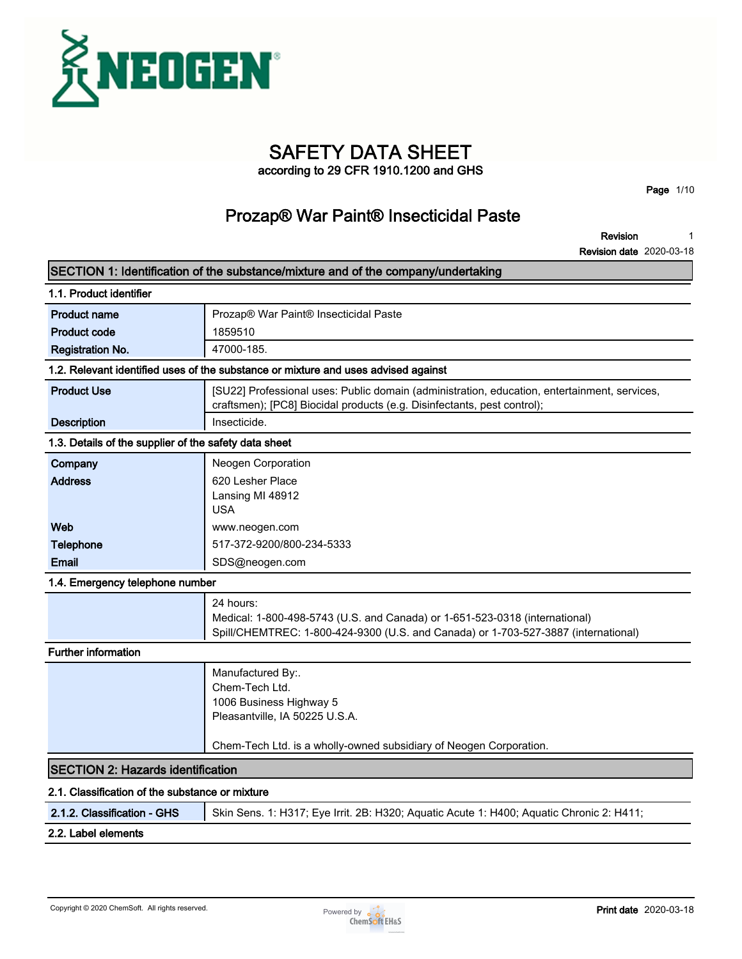

# **SAFETY DATA SHEET**

**according to 29 CFR 1910.1200 and GHS**

**Page 1/10**

### **Prozap® War Paint® Insecticidal Paste**

**Revision 1**

**Revision date 2020-03-18**

|                                                       | SECTION 1: Identification of the substance/mixture and of the company/undertaking                                                                                              |
|-------------------------------------------------------|--------------------------------------------------------------------------------------------------------------------------------------------------------------------------------|
| 1.1. Product identifier                               |                                                                                                                                                                                |
| <b>Product name</b>                                   | Prozap® War Paint® Insecticidal Paste                                                                                                                                          |
| <b>Product code</b>                                   | 1859510                                                                                                                                                                        |
| <b>Registration No.</b>                               | 47000-185.                                                                                                                                                                     |
|                                                       | 1.2. Relevant identified uses of the substance or mixture and uses advised against                                                                                             |
| <b>Product Use</b>                                    | [SU22] Professional uses: Public domain (administration, education, entertainment, services,<br>craftsmen); [PC8] Biocidal products (e.g. Disinfectants, pest control);        |
| <b>Description</b>                                    | Insecticide.                                                                                                                                                                   |
| 1.3. Details of the supplier of the safety data sheet |                                                                                                                                                                                |
| Company                                               | Neogen Corporation                                                                                                                                                             |
| <b>Address</b>                                        | 620 Lesher Place                                                                                                                                                               |
|                                                       | Lansing MI 48912                                                                                                                                                               |
|                                                       | <b>USA</b>                                                                                                                                                                     |
| Web                                                   | www.neogen.com                                                                                                                                                                 |
| Telephone                                             | 517-372-9200/800-234-5333                                                                                                                                                      |
| <b>Email</b>                                          | SDS@neogen.com                                                                                                                                                                 |
| 1.4. Emergency telephone number                       |                                                                                                                                                                                |
|                                                       | 24 hours:<br>Medical: 1-800-498-5743 (U.S. and Canada) or 1-651-523-0318 (international)<br>Spill/CHEMTREC: 1-800-424-9300 (U.S. and Canada) or 1-703-527-3887 (international) |
| <b>Further information</b>                            |                                                                                                                                                                                |
|                                                       | Manufactured By:.<br>Chem-Tech Ltd.<br>1006 Business Highway 5<br>Pleasantville, IA 50225 U.S.A.                                                                               |
|                                                       | Chem-Tech Ltd. is a wholly-owned subsidiary of Neogen Corporation.                                                                                                             |
| <b>SECTION 2: Hazards identification</b>              |                                                                                                                                                                                |
| 2.1. Classification of the substance or mixture       |                                                                                                                                                                                |
| 2.1.2. Classification - GHS                           | Skin Sens. 1: H317; Eye Irrit. 2B: H320; Aquatic Acute 1: H400; Aquatic Chronic 2: H411;                                                                                       |

### **2.2. Label elements**

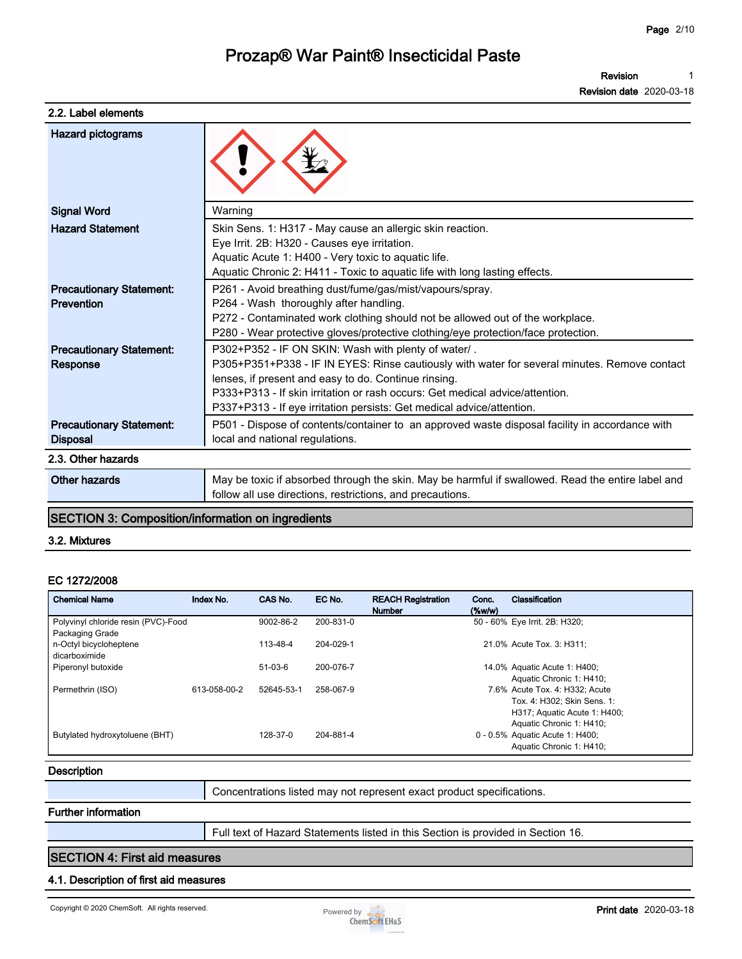**1**

**Revision**

|                                 | <b>Revision date 2020-03-18</b>                                                                   |
|---------------------------------|---------------------------------------------------------------------------------------------------|
| 2.2. Label elements             |                                                                                                   |
| <b>Hazard pictograms</b>        |                                                                                                   |
| <b>Signal Word</b>              | Warning                                                                                           |
| <b>Hazard Statement</b>         | Skin Sens. 1: H317 - May cause an allergic skin reaction.                                         |
|                                 | Eye Irrit. 2B: H320 - Causes eye irritation.                                                      |
|                                 | Aquatic Acute 1: H400 - Very toxic to aquatic life.                                               |
|                                 | Aquatic Chronic 2: H411 - Toxic to aquatic life with long lasting effects.                        |
| <b>Precautionary Statement:</b> | P261 - Avoid breathing dust/fume/gas/mist/vapours/spray.                                          |
| Prevention                      | P264 - Wash thoroughly after handling.                                                            |
|                                 | P272 - Contaminated work clothing should not be allowed out of the workplace.                     |
|                                 | P280 - Wear protective gloves/protective clothing/eye protection/face protection.                 |
| <b>Precautionary Statement:</b> | P302+P352 - IF ON SKIN: Wash with plenty of water/.                                               |
| Response                        | P305+P351+P338 - IF IN EYES: Rinse cautiously with water for several minutes. Remove contact      |
|                                 | lenses, if present and easy to do. Continue rinsing.                                              |
|                                 | P333+P313 - If skin irritation or rash occurs: Get medical advice/attention.                      |
|                                 | P337+P313 - If eye irritation persists: Get medical advice/attention.                             |
| <b>Precautionary Statement:</b> | P501 - Dispose of contents/container to an approved waste disposal facility in accordance with    |
| <b>Disposal</b>                 | local and national regulations.                                                                   |
| 2.3. Other hazards              |                                                                                                   |
| Other hazards                   | May be toxic if absorbed through the skin. May be harmful if swallowed. Read the entire label and |
|                                 | follow all use directions, restrictions, and precautions.                                         |

### **SECTION 3: Composition/information on ingredients**

#### **3.2. Mixtures**

#### **EC 1272/2008**

| <b>Chemical Name</b>                                       | Index No.    | CAS No.    | EC No.    | <b>REACH Registration</b><br><b>Number</b> | Conc.<br>$(\%w/w)$ | <b>Classification</b>                                                                                                     |
|------------------------------------------------------------|--------------|------------|-----------|--------------------------------------------|--------------------|---------------------------------------------------------------------------------------------------------------------------|
| Polyvinyl chloride resin (PVC)-Food                        |              | 9002-86-2  | 200-831-0 |                                            |                    | 50 - 60% Eye Irrit. 2B: H320;                                                                                             |
| Packaging Grade<br>n-Octyl bicycloheptene<br>dicarboximide |              | 113-48-4   | 204-029-1 |                                            |                    | 21.0% Acute Tox. 3: H311:                                                                                                 |
| Piperonyl butoxide                                         |              | $51-03-6$  | 200-076-7 |                                            |                    | 14.0% Aquatic Acute 1: H400;<br>Aquatic Chronic 1: H410;                                                                  |
| Permethrin (ISO)                                           | 613-058-00-2 | 52645-53-1 | 258-067-9 |                                            |                    | 7.6% Acute Tox, 4: H332: Acute<br>Tox. 4: H302: Skin Sens. 1:<br>H317; Aquatic Acute 1: H400;<br>Aquatic Chronic 1: H410; |
| Butylated hydroxytoluene (BHT)                             |              | 128-37-0   | 204-881-4 |                                            |                    | 0 - 0.5% Aquatic Acute 1: H400;<br>Aquatic Chronic 1: H410;                                                               |

#### **Description**

**Concentrations listed may not represent exact product specifications.**

#### **Further information**

**Full text of Hazard Statements listed in this Section is provided in Section 16.**

#### **SECTION 4: First aid measures**

#### **4.1. Description of first aid measures**

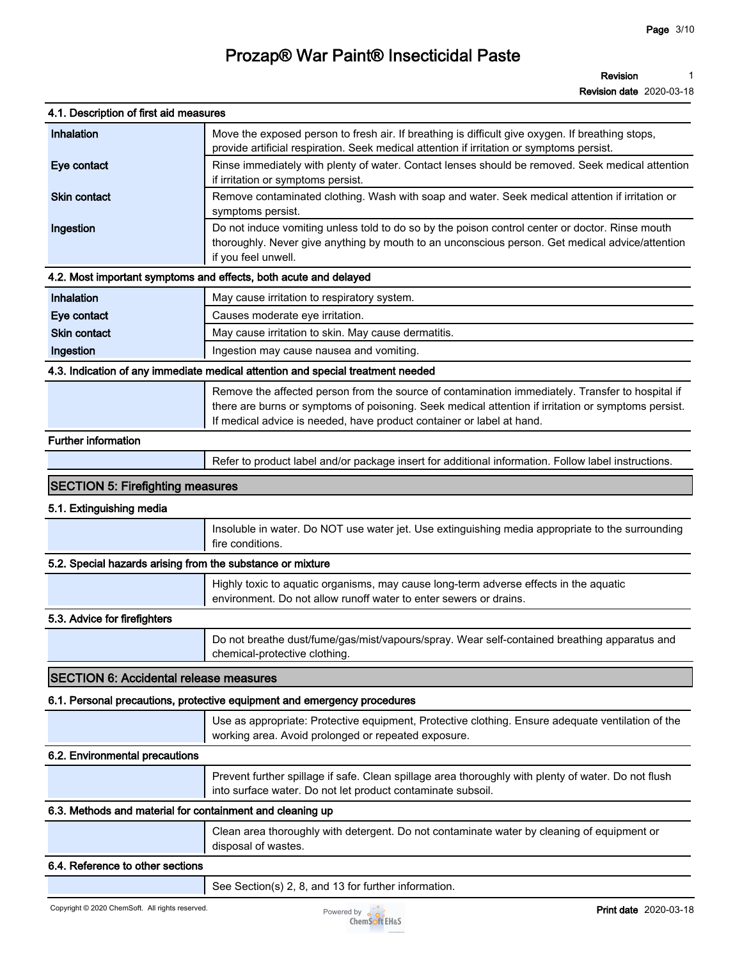| 4.1. Description of first aid measures                     |                                                                                                                                                                                                                                                                                  |
|------------------------------------------------------------|----------------------------------------------------------------------------------------------------------------------------------------------------------------------------------------------------------------------------------------------------------------------------------|
| Inhalation                                                 | Move the exposed person to fresh air. If breathing is difficult give oxygen. If breathing stops,                                                                                                                                                                                 |
|                                                            | provide artificial respiration. Seek medical attention if irritation or symptoms persist.                                                                                                                                                                                        |
| Eye contact                                                | Rinse immediately with plenty of water. Contact lenses should be removed. Seek medical attention<br>if irritation or symptoms persist.                                                                                                                                           |
| <b>Skin contact</b>                                        | Remove contaminated clothing. Wash with soap and water. Seek medical attention if irritation or<br>symptoms persist.                                                                                                                                                             |
| Ingestion                                                  | Do not induce vomiting unless told to do so by the poison control center or doctor. Rinse mouth<br>thoroughly. Never give anything by mouth to an unconscious person. Get medical advice/attention<br>if you feel unwell.                                                        |
|                                                            | 4.2. Most important symptoms and effects, both acute and delayed                                                                                                                                                                                                                 |
| Inhalation                                                 | May cause irritation to respiratory system.                                                                                                                                                                                                                                      |
| Eye contact                                                | Causes moderate eye irritation.                                                                                                                                                                                                                                                  |
| <b>Skin contact</b>                                        | May cause irritation to skin. May cause dermatitis.                                                                                                                                                                                                                              |
| Ingestion                                                  | Ingestion may cause nausea and vomiting.                                                                                                                                                                                                                                         |
|                                                            | 4.3. Indication of any immediate medical attention and special treatment needed                                                                                                                                                                                                  |
|                                                            | Remove the affected person from the source of contamination immediately. Transfer to hospital if<br>there are burns or symptoms of poisoning. Seek medical attention if irritation or symptoms persist.<br>If medical advice is needed, have product container or label at hand. |
| <b>Further information</b>                                 |                                                                                                                                                                                                                                                                                  |
|                                                            | Refer to product label and/or package insert for additional information. Follow label instructions.                                                                                                                                                                              |
| <b>SECTION 5: Firefighting measures</b>                    |                                                                                                                                                                                                                                                                                  |
| 5.1. Extinguishing media                                   |                                                                                                                                                                                                                                                                                  |
|                                                            | Insoluble in water. Do NOT use water jet. Use extinguishing media appropriate to the surrounding<br>fire conditions.                                                                                                                                                             |
| 5.2. Special hazards arising from the substance or mixture |                                                                                                                                                                                                                                                                                  |
|                                                            | Highly toxic to aquatic organisms, may cause long-term adverse effects in the aquatic<br>environment. Do not allow runoff water to enter sewers or drains.                                                                                                                       |
| 5.3. Advice for firefighters                               |                                                                                                                                                                                                                                                                                  |
|                                                            | Do not breathe dust/fume/gas/mist/vapours/spray. Wear self-contained breathing apparatus and<br>chemical-protective clothing.                                                                                                                                                    |
| <b>SECTION 6: Accidental release measures</b>              |                                                                                                                                                                                                                                                                                  |
|                                                            | 6.1. Personal precautions, protective equipment and emergency procedures                                                                                                                                                                                                         |
|                                                            | Use as appropriate: Protective equipment, Protective clothing. Ensure adequate ventilation of the<br>working area. Avoid prolonged or repeated exposure.                                                                                                                         |
| 6.2. Environmental precautions                             |                                                                                                                                                                                                                                                                                  |
|                                                            | Prevent further spillage if safe. Clean spillage area thoroughly with plenty of water. Do not flush<br>into surface water. Do not let product contaminate subsoil.                                                                                                               |
| 6.3. Methods and material for containment and cleaning up  |                                                                                                                                                                                                                                                                                  |
|                                                            | Clean area thoroughly with detergent. Do not contaminate water by cleaning of equipment or<br>disposal of wastes.                                                                                                                                                                |
| 6.4. Reference to other sections                           |                                                                                                                                                                                                                                                                                  |
|                                                            | See Section(s) 2, 8, and 13 for further information.                                                                                                                                                                                                                             |

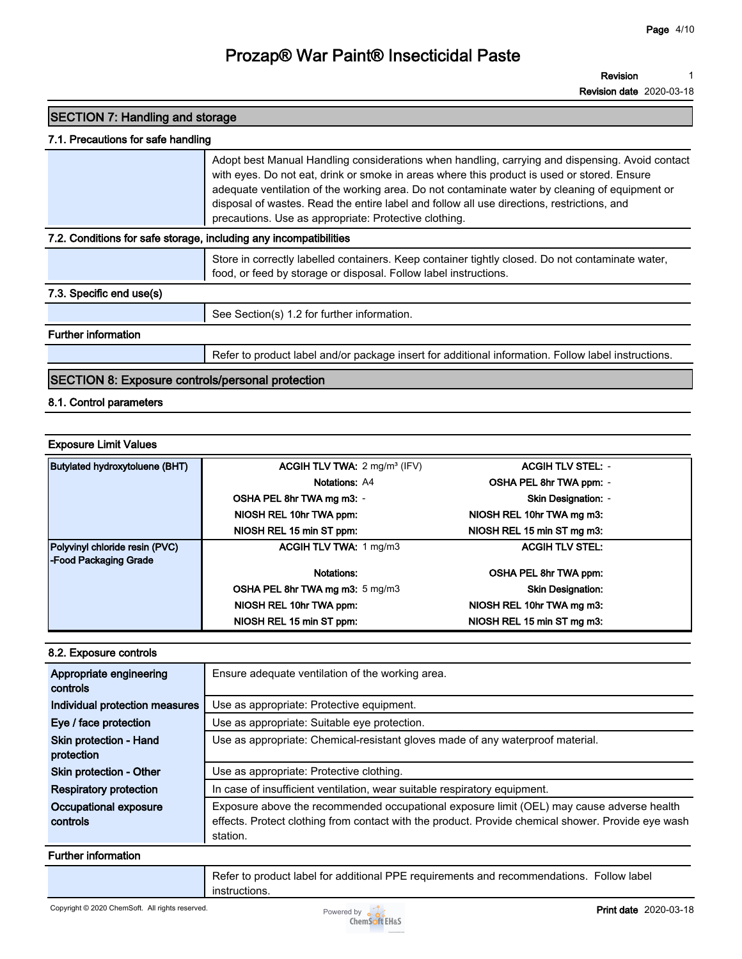**Revision 1**

**Revision date 2020-03-18**

| <b>SECTION 7: Handling and storage</b>                            |                                                                                                                                                                                                                                                                                                                                                                                                                                                         |
|-------------------------------------------------------------------|---------------------------------------------------------------------------------------------------------------------------------------------------------------------------------------------------------------------------------------------------------------------------------------------------------------------------------------------------------------------------------------------------------------------------------------------------------|
| 7.1. Precautions for safe handling                                |                                                                                                                                                                                                                                                                                                                                                                                                                                                         |
|                                                                   | Adopt best Manual Handling considerations when handling, carrying and dispensing. Avoid contact<br>with eyes. Do not eat, drink or smoke in areas where this product is used or stored. Ensure<br>adequate ventilation of the working area. Do not contaminate water by cleaning of equipment or<br>disposal of wastes. Read the entire label and follow all use directions, restrictions, and<br>precautions. Use as appropriate: Protective clothing. |
| 7.2. Conditions for safe storage, including any incompatibilities |                                                                                                                                                                                                                                                                                                                                                                                                                                                         |
|                                                                   | Store in correctly labelled containers. Keep container tightly closed. Do not contaminate water,<br>food, or feed by storage or disposal. Follow label instructions.                                                                                                                                                                                                                                                                                    |
| 7.3. Specific end use(s)                                          |                                                                                                                                                                                                                                                                                                                                                                                                                                                         |
|                                                                   | See Section(s) 1.2 for further information.                                                                                                                                                                                                                                                                                                                                                                                                             |
| <b>Further information</b>                                        |                                                                                                                                                                                                                                                                                                                                                                                                                                                         |
|                                                                   | Refer to product label and/or package insert for additional information. Follow label instructions.                                                                                                                                                                                                                                                                                                                                                     |
| <b>SECTION 8: Exposure controls/personal protection</b>           |                                                                                                                                                                                                                                                                                                                                                                                                                                                         |

### **8.1. Control parameters**

#### **Exposure Limit Values**

| <b>Butylated hydroxytoluene (BHT)</b> | <b>ACGIH TLV TWA:</b> $2 \text{ mg/m}^3$ (IFV) | <b>ACGIH TLV STEL: -</b>   |
|---------------------------------------|------------------------------------------------|----------------------------|
|                                       | Notations: A4                                  | OSHA PEL 8hr TWA ppm: -    |
|                                       | OSHA PEL 8hr TWA mg m3: -                      | <b>Skin Designation: -</b> |
|                                       | NIOSH REL 10hr TWA ppm:                        | NIOSH REL 10hr TWA mg m3:  |
|                                       | NIOSH REL 15 min ST ppm:                       | NIOSH REL 15 min ST mg m3: |
| Polyvinyl chloride resin (PVC)        | <b>ACGIH TLV TWA: 1 mg/m3</b>                  | <b>ACGIH TLV STEL:</b>     |
| -Food Packaging Grade                 |                                                |                            |
|                                       | Notations:                                     | OSHA PEL 8hr TWA ppm:      |
|                                       | <b>OSHA PEL 8hr TWA mg m3:</b> 5 mg/m3         | <b>Skin Designation:</b>   |
|                                       | NIOSH REL 10hr TWA ppm:                        | NIOSH REL 10hr TWA mg m3:  |
|                                       | NIOSH REL 15 min ST ppm:                       | NIOSH REL 15 min ST mg m3: |

#### **8.2. Exposure controls**

| Appropriate engineering<br>controls         | Ensure adequate ventilation of the working area.                                                                                                                                                            |
|---------------------------------------------|-------------------------------------------------------------------------------------------------------------------------------------------------------------------------------------------------------------|
| Individual protection measures              | Use as appropriate: Protective equipment.                                                                                                                                                                   |
| Eye / face protection                       | Use as appropriate: Suitable eye protection.                                                                                                                                                                |
| <b>Skin protection - Hand</b><br>protection | Use as appropriate: Chemical-resistant gloves made of any waterproof material.                                                                                                                              |
| Skin protection - Other                     | Use as appropriate: Protective clothing.                                                                                                                                                                    |
| <b>Respiratory protection</b>               | In case of insufficient ventilation, wear suitable respiratory equipment.                                                                                                                                   |
| Occupational exposure<br>controls           | Exposure above the recommended occupational exposure limit (OEL) may cause adverse health<br>effects. Protect clothing from contact with the product. Provide chemical shower. Provide eye wash<br>station. |

### **Further information**

**Refer to product label for additional PPE requirements and recommendations. Follow label instructions.**

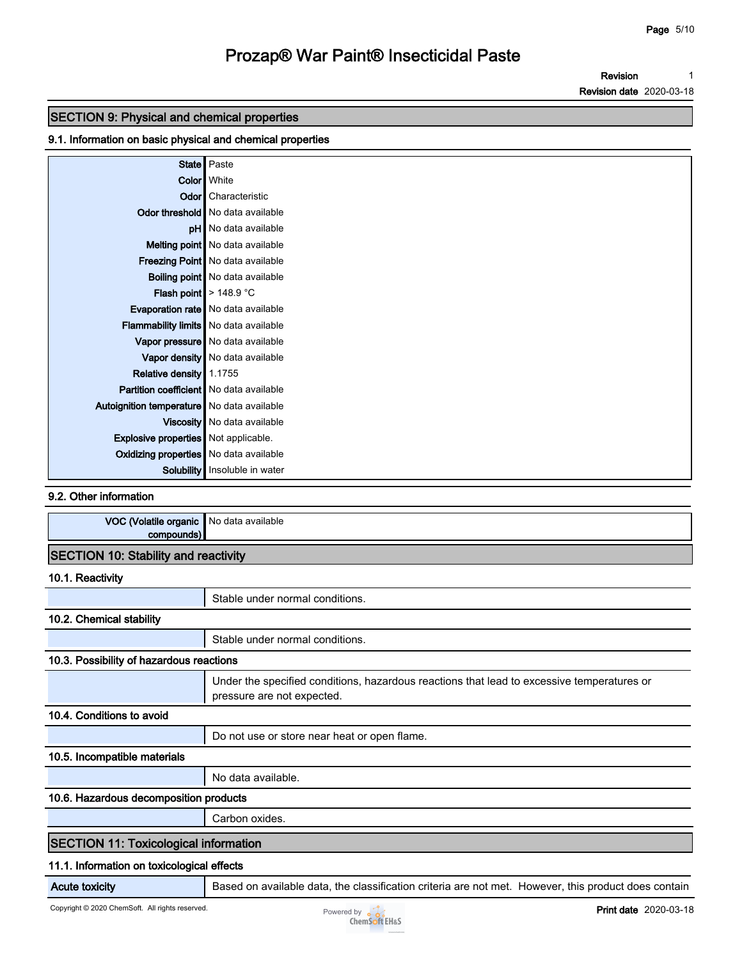**Revision 1**

**Revision date 2020-03-18**

### **SECTION 9: Physical and chemical properties**

### **9.1. Information on basic physical and chemical properties**

|                                                | State   Paste                          |
|------------------------------------------------|----------------------------------------|
|                                                | Color   White                          |
|                                                | <b>Odor</b> Characteristic             |
|                                                | Odor threshold No data available       |
|                                                | pH No data available                   |
|                                                | Melting point   No data available      |
|                                                | Freezing Point No data available       |
|                                                | <b>Boiling point</b> No data available |
|                                                | Flash point $\geq 148.9$ °C            |
|                                                | Evaporation rate   No data available   |
| <b>Flammability limits</b> No data available   |                                        |
|                                                | Vapor pressure   No data available     |
|                                                | Vapor density No data available        |
| Relative density 1.1755                        |                                        |
| <b>Partition coefficient</b> No data available |                                        |
| Autoignition temperature   No data available   |                                        |
|                                                | Viscosity   No data available          |
| <b>Explosive properties</b> Not applicable.    |                                        |
| Oxidizing properties No data available         |                                        |
|                                                | Solubility   Insoluble in water        |

**9.2. Other information**

| VOC (Volatile organic   No data available |  |
|-------------------------------------------|--|
| compounds)                                |  |
| SECTION 10: Stability and reactivity      |  |

**10.1. Reactivity**

|                                              | Stable under normal conditions.                                                                                          |
|----------------------------------------------|--------------------------------------------------------------------------------------------------------------------------|
| 10.2. Chemical stability                     |                                                                                                                          |
|                                              | Stable under normal conditions.                                                                                          |
| 10.3. Possibility of hazardous reactions     |                                                                                                                          |
|                                              | Under the specified conditions, hazardous reactions that lead to excessive temperatures or<br>pressure are not expected. |
| 10.4. Conditions to avoid                    |                                                                                                                          |
|                                              | Do not use or store near heat or open flame.                                                                             |
| 10.5. Incompatible materials                 |                                                                                                                          |
|                                              | No data available.                                                                                                       |
| 10.6. Hazardous decomposition products       |                                                                                                                          |
|                                              | Carbon oxides.                                                                                                           |
| <b>SECTION 11: Toxicological information</b> |                                                                                                                          |
| 11.1. Information on toxicological effects   |                                                                                                                          |

**Acute toxicity Based on available data, the classification criteria are not met. However, this product does contain** 

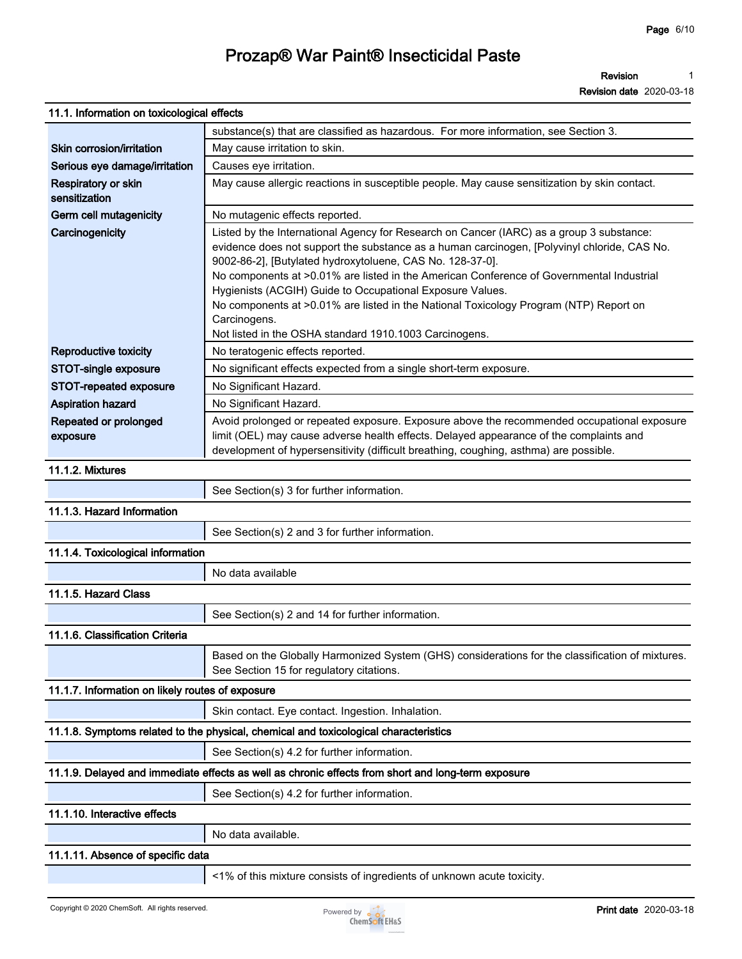**Revision 1**

**Revision date 2020-03-18**

| 11.1. Information on toxicological effects        |                                                                                                                                                                                                                                                                                                                                                                                                                                                                                                                                                                                  |
|---------------------------------------------------|----------------------------------------------------------------------------------------------------------------------------------------------------------------------------------------------------------------------------------------------------------------------------------------------------------------------------------------------------------------------------------------------------------------------------------------------------------------------------------------------------------------------------------------------------------------------------------|
|                                                   | substance(s) that are classified as hazardous. For more information, see Section 3.                                                                                                                                                                                                                                                                                                                                                                                                                                                                                              |
| Skin corrosion/irritation                         | May cause irritation to skin.                                                                                                                                                                                                                                                                                                                                                                                                                                                                                                                                                    |
| Serious eye damage/irritation                     | Causes eye irritation.                                                                                                                                                                                                                                                                                                                                                                                                                                                                                                                                                           |
| Respiratory or skin<br>sensitization              | May cause allergic reactions in susceptible people. May cause sensitization by skin contact.                                                                                                                                                                                                                                                                                                                                                                                                                                                                                     |
| Germ cell mutagenicity                            | No mutagenic effects reported.                                                                                                                                                                                                                                                                                                                                                                                                                                                                                                                                                   |
| Carcinogenicity                                   | Listed by the International Agency for Research on Cancer (IARC) as a group 3 substance:<br>evidence does not support the substance as a human carcinogen, [Polyvinyl chloride, CAS No.<br>9002-86-2], [Butylated hydroxytoluene, CAS No. 128-37-0].<br>No components at >0.01% are listed in the American Conference of Governmental Industrial<br>Hygienists (ACGIH) Guide to Occupational Exposure Values.<br>No components at >0.01% are listed in the National Toxicology Program (NTP) Report on<br>Carcinogens.<br>Not listed in the OSHA standard 1910.1003 Carcinogens. |
| Reproductive toxicity                             | No teratogenic effects reported.                                                                                                                                                                                                                                                                                                                                                                                                                                                                                                                                                 |
| STOT-single exposure                              | No significant effects expected from a single short-term exposure.                                                                                                                                                                                                                                                                                                                                                                                                                                                                                                               |
| STOT-repeated exposure                            | No Significant Hazard.                                                                                                                                                                                                                                                                                                                                                                                                                                                                                                                                                           |
| <b>Aspiration hazard</b><br>Repeated or prolonged | No Significant Hazard.<br>Avoid prolonged or repeated exposure. Exposure above the recommended occupational exposure                                                                                                                                                                                                                                                                                                                                                                                                                                                             |
| exposure                                          | limit (OEL) may cause adverse health effects. Delayed appearance of the complaints and<br>development of hypersensitivity (difficult breathing, coughing, asthma) are possible.                                                                                                                                                                                                                                                                                                                                                                                                  |
| 11.1.2. Mixtures                                  |                                                                                                                                                                                                                                                                                                                                                                                                                                                                                                                                                                                  |
|                                                   | See Section(s) 3 for further information.                                                                                                                                                                                                                                                                                                                                                                                                                                                                                                                                        |
| 11.1.3. Hazard Information                        |                                                                                                                                                                                                                                                                                                                                                                                                                                                                                                                                                                                  |
|                                                   | See Section(s) 2 and 3 for further information.                                                                                                                                                                                                                                                                                                                                                                                                                                                                                                                                  |
| 11.1.4. Toxicological information                 |                                                                                                                                                                                                                                                                                                                                                                                                                                                                                                                                                                                  |
|                                                   | No data available                                                                                                                                                                                                                                                                                                                                                                                                                                                                                                                                                                |
| 11.1.5. Hazard Class                              |                                                                                                                                                                                                                                                                                                                                                                                                                                                                                                                                                                                  |
|                                                   | See Section(s) 2 and 14 for further information.                                                                                                                                                                                                                                                                                                                                                                                                                                                                                                                                 |
| 11.1.6. Classification Criteria                   |                                                                                                                                                                                                                                                                                                                                                                                                                                                                                                                                                                                  |
|                                                   | Based on the Globally Harmonized System (GHS) considerations for the classification of mixtures.<br>See Section 15 for regulatory citations.                                                                                                                                                                                                                                                                                                                                                                                                                                     |
| 11.1.7. Information on likely routes of exposure  |                                                                                                                                                                                                                                                                                                                                                                                                                                                                                                                                                                                  |
|                                                   | Skin contact. Eye contact. Ingestion. Inhalation.                                                                                                                                                                                                                                                                                                                                                                                                                                                                                                                                |
|                                                   | 11.1.8. Symptoms related to the physical, chemical and toxicological characteristics                                                                                                                                                                                                                                                                                                                                                                                                                                                                                             |
|                                                   | See Section(s) 4.2 for further information.                                                                                                                                                                                                                                                                                                                                                                                                                                                                                                                                      |
|                                                   | 11.1.9. Delayed and immediate effects as well as chronic effects from short and long-term exposure                                                                                                                                                                                                                                                                                                                                                                                                                                                                               |
|                                                   | See Section(s) 4.2 for further information.                                                                                                                                                                                                                                                                                                                                                                                                                                                                                                                                      |
| 11.1.10. Interactive effects                      |                                                                                                                                                                                                                                                                                                                                                                                                                                                                                                                                                                                  |
|                                                   | No data available.                                                                                                                                                                                                                                                                                                                                                                                                                                                                                                                                                               |
| 11.1.11. Absence of specific data                 |                                                                                                                                                                                                                                                                                                                                                                                                                                                                                                                                                                                  |
|                                                   |                                                                                                                                                                                                                                                                                                                                                                                                                                                                                                                                                                                  |

**<1% of this mixture consists of ingredients of unknown acute toxicity.**

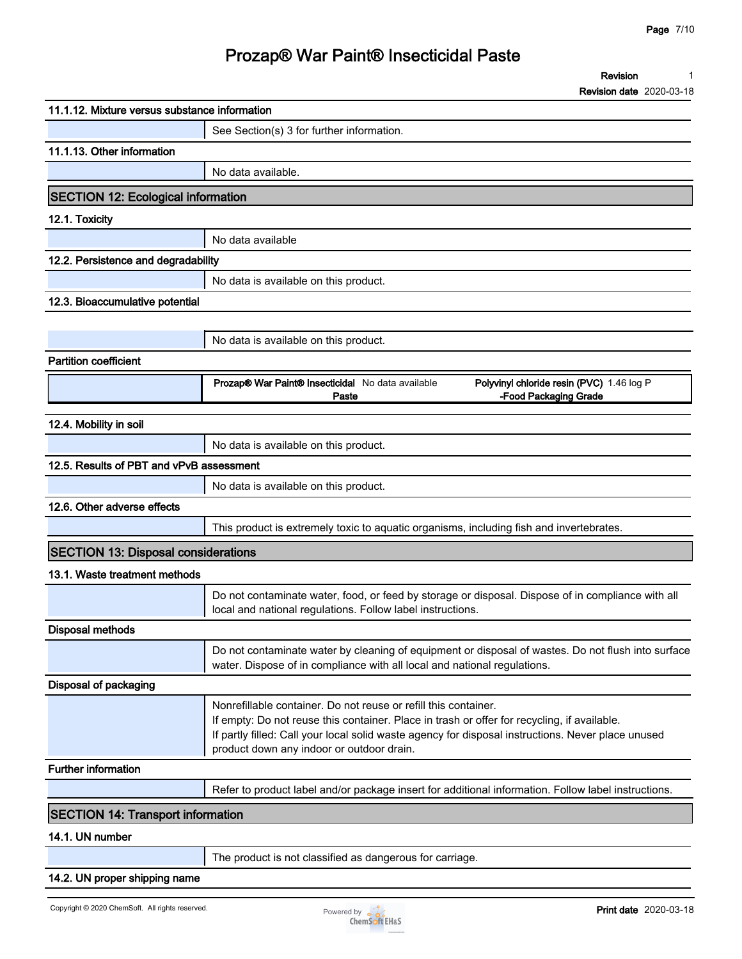**Revision 1**

**Revision date 2020-03-18**

| 11.1.12. Mixture versus substance information<br>See Section(s) 3 for further information.<br>11.1.13. Other information<br>No data available.<br><b>SECTION 12: Ecological information</b><br>12.1. Toxicity<br>No data available<br>12.2. Persistence and degradability<br>No data is available on this product.<br>No data is available on this product.<br><b>Partition coefficient</b><br>Prozap® War Paint® Insecticidal No data available<br>Polyvinyl chloride resin (PVC) 1.46 log P<br>-Food Packaging Grade<br>Paste<br>12.4. Mobility in soil<br>No data is available on this product.<br>12.5. Results of PBT and vPvB assessment<br>No data is available on this product.<br>12.6. Other adverse effects<br>This product is extremely toxic to aquatic organisms, including fish and invertebrates.<br><b>SECTION 13: Disposal considerations</b><br>13.1. Waste treatment methods<br>Do not contaminate water, food, or feed by storage or disposal. Dispose of in compliance with all<br>local and national regulations. Follow label instructions.<br>water. Dispose of in compliance with all local and national regulations.<br>Disposal of packaging<br>Nonrefillable container. Do not reuse or refill this container.<br>If empty: Do not reuse this container. Place in trash or offer for recycling, if available.<br>If partly filled: Call your local solid waste agency for disposal instructions. Never place unused<br>product down any indoor or outdoor drain.<br><b>Further information</b><br>Refer to product label and/or package insert for additional information. Follow label instructions.<br><b>SECTION 14: Transport information</b><br>14.1. UN number<br>The product is not classified as dangerous for carriage.<br>14.2. UN proper shipping name |                                 |                                                                                                    |
|------------------------------------------------------------------------------------------------------------------------------------------------------------------------------------------------------------------------------------------------------------------------------------------------------------------------------------------------------------------------------------------------------------------------------------------------------------------------------------------------------------------------------------------------------------------------------------------------------------------------------------------------------------------------------------------------------------------------------------------------------------------------------------------------------------------------------------------------------------------------------------------------------------------------------------------------------------------------------------------------------------------------------------------------------------------------------------------------------------------------------------------------------------------------------------------------------------------------------------------------------------------------------------------------------------------------------------------------------------------------------------------------------------------------------------------------------------------------------------------------------------------------------------------------------------------------------------------------------------------------------------------------------------------------------------------------------------------------------------------------------------------------------------------------|---------------------------------|----------------------------------------------------------------------------------------------------|
|                                                                                                                                                                                                                                                                                                                                                                                                                                                                                                                                                                                                                                                                                                                                                                                                                                                                                                                                                                                                                                                                                                                                                                                                                                                                                                                                                                                                                                                                                                                                                                                                                                                                                                                                                                                                |                                 |                                                                                                    |
|                                                                                                                                                                                                                                                                                                                                                                                                                                                                                                                                                                                                                                                                                                                                                                                                                                                                                                                                                                                                                                                                                                                                                                                                                                                                                                                                                                                                                                                                                                                                                                                                                                                                                                                                                                                                |                                 |                                                                                                    |
|                                                                                                                                                                                                                                                                                                                                                                                                                                                                                                                                                                                                                                                                                                                                                                                                                                                                                                                                                                                                                                                                                                                                                                                                                                                                                                                                                                                                                                                                                                                                                                                                                                                                                                                                                                                                |                                 |                                                                                                    |
|                                                                                                                                                                                                                                                                                                                                                                                                                                                                                                                                                                                                                                                                                                                                                                                                                                                                                                                                                                                                                                                                                                                                                                                                                                                                                                                                                                                                                                                                                                                                                                                                                                                                                                                                                                                                |                                 |                                                                                                    |
|                                                                                                                                                                                                                                                                                                                                                                                                                                                                                                                                                                                                                                                                                                                                                                                                                                                                                                                                                                                                                                                                                                                                                                                                                                                                                                                                                                                                                                                                                                                                                                                                                                                                                                                                                                                                |                                 |                                                                                                    |
|                                                                                                                                                                                                                                                                                                                                                                                                                                                                                                                                                                                                                                                                                                                                                                                                                                                                                                                                                                                                                                                                                                                                                                                                                                                                                                                                                                                                                                                                                                                                                                                                                                                                                                                                                                                                |                                 |                                                                                                    |
|                                                                                                                                                                                                                                                                                                                                                                                                                                                                                                                                                                                                                                                                                                                                                                                                                                                                                                                                                                                                                                                                                                                                                                                                                                                                                                                                                                                                                                                                                                                                                                                                                                                                                                                                                                                                |                                 |                                                                                                    |
|                                                                                                                                                                                                                                                                                                                                                                                                                                                                                                                                                                                                                                                                                                                                                                                                                                                                                                                                                                                                                                                                                                                                                                                                                                                                                                                                                                                                                                                                                                                                                                                                                                                                                                                                                                                                |                                 |                                                                                                    |
|                                                                                                                                                                                                                                                                                                                                                                                                                                                                                                                                                                                                                                                                                                                                                                                                                                                                                                                                                                                                                                                                                                                                                                                                                                                                                                                                                                                                                                                                                                                                                                                                                                                                                                                                                                                                |                                 |                                                                                                    |
|                                                                                                                                                                                                                                                                                                                                                                                                                                                                                                                                                                                                                                                                                                                                                                                                                                                                                                                                                                                                                                                                                                                                                                                                                                                                                                                                                                                                                                                                                                                                                                                                                                                                                                                                                                                                | 12.3. Bioaccumulative potential |                                                                                                    |
|                                                                                                                                                                                                                                                                                                                                                                                                                                                                                                                                                                                                                                                                                                                                                                                                                                                                                                                                                                                                                                                                                                                                                                                                                                                                                                                                                                                                                                                                                                                                                                                                                                                                                                                                                                                                |                                 |                                                                                                    |
|                                                                                                                                                                                                                                                                                                                                                                                                                                                                                                                                                                                                                                                                                                                                                                                                                                                                                                                                                                                                                                                                                                                                                                                                                                                                                                                                                                                                                                                                                                                                                                                                                                                                                                                                                                                                |                                 |                                                                                                    |
|                                                                                                                                                                                                                                                                                                                                                                                                                                                                                                                                                                                                                                                                                                                                                                                                                                                                                                                                                                                                                                                                                                                                                                                                                                                                                                                                                                                                                                                                                                                                                                                                                                                                                                                                                                                                |                                 |                                                                                                    |
|                                                                                                                                                                                                                                                                                                                                                                                                                                                                                                                                                                                                                                                                                                                                                                                                                                                                                                                                                                                                                                                                                                                                                                                                                                                                                                                                                                                                                                                                                                                                                                                                                                                                                                                                                                                                |                                 |                                                                                                    |
|                                                                                                                                                                                                                                                                                                                                                                                                                                                                                                                                                                                                                                                                                                                                                                                                                                                                                                                                                                                                                                                                                                                                                                                                                                                                                                                                                                                                                                                                                                                                                                                                                                                                                                                                                                                                |                                 |                                                                                                    |
|                                                                                                                                                                                                                                                                                                                                                                                                                                                                                                                                                                                                                                                                                                                                                                                                                                                                                                                                                                                                                                                                                                                                                                                                                                                                                                                                                                                                                                                                                                                                                                                                                                                                                                                                                                                                |                                 |                                                                                                    |
|                                                                                                                                                                                                                                                                                                                                                                                                                                                                                                                                                                                                                                                                                                                                                                                                                                                                                                                                                                                                                                                                                                                                                                                                                                                                                                                                                                                                                                                                                                                                                                                                                                                                                                                                                                                                |                                 |                                                                                                    |
|                                                                                                                                                                                                                                                                                                                                                                                                                                                                                                                                                                                                                                                                                                                                                                                                                                                                                                                                                                                                                                                                                                                                                                                                                                                                                                                                                                                                                                                                                                                                                                                                                                                                                                                                                                                                |                                 |                                                                                                    |
|                                                                                                                                                                                                                                                                                                                                                                                                                                                                                                                                                                                                                                                                                                                                                                                                                                                                                                                                                                                                                                                                                                                                                                                                                                                                                                                                                                                                                                                                                                                                                                                                                                                                                                                                                                                                |                                 |                                                                                                    |
|                                                                                                                                                                                                                                                                                                                                                                                                                                                                                                                                                                                                                                                                                                                                                                                                                                                                                                                                                                                                                                                                                                                                                                                                                                                                                                                                                                                                                                                                                                                                                                                                                                                                                                                                                                                                |                                 |                                                                                                    |
|                                                                                                                                                                                                                                                                                                                                                                                                                                                                                                                                                                                                                                                                                                                                                                                                                                                                                                                                                                                                                                                                                                                                                                                                                                                                                                                                                                                                                                                                                                                                                                                                                                                                                                                                                                                                |                                 |                                                                                                    |
|                                                                                                                                                                                                                                                                                                                                                                                                                                                                                                                                                                                                                                                                                                                                                                                                                                                                                                                                                                                                                                                                                                                                                                                                                                                                                                                                                                                                                                                                                                                                                                                                                                                                                                                                                                                                |                                 |                                                                                                    |
|                                                                                                                                                                                                                                                                                                                                                                                                                                                                                                                                                                                                                                                                                                                                                                                                                                                                                                                                                                                                                                                                                                                                                                                                                                                                                                                                                                                                                                                                                                                                                                                                                                                                                                                                                                                                |                                 |                                                                                                    |
|                                                                                                                                                                                                                                                                                                                                                                                                                                                                                                                                                                                                                                                                                                                                                                                                                                                                                                                                                                                                                                                                                                                                                                                                                                                                                                                                                                                                                                                                                                                                                                                                                                                                                                                                                                                                | <b>Disposal methods</b>         |                                                                                                    |
|                                                                                                                                                                                                                                                                                                                                                                                                                                                                                                                                                                                                                                                                                                                                                                                                                                                                                                                                                                                                                                                                                                                                                                                                                                                                                                                                                                                                                                                                                                                                                                                                                                                                                                                                                                                                |                                 | Do not contaminate water by cleaning of equipment or disposal of wastes. Do not flush into surface |
|                                                                                                                                                                                                                                                                                                                                                                                                                                                                                                                                                                                                                                                                                                                                                                                                                                                                                                                                                                                                                                                                                                                                                                                                                                                                                                                                                                                                                                                                                                                                                                                                                                                                                                                                                                                                |                                 |                                                                                                    |
|                                                                                                                                                                                                                                                                                                                                                                                                                                                                                                                                                                                                                                                                                                                                                                                                                                                                                                                                                                                                                                                                                                                                                                                                                                                                                                                                                                                                                                                                                                                                                                                                                                                                                                                                                                                                |                                 |                                                                                                    |
|                                                                                                                                                                                                                                                                                                                                                                                                                                                                                                                                                                                                                                                                                                                                                                                                                                                                                                                                                                                                                                                                                                                                                                                                                                                                                                                                                                                                                                                                                                                                                                                                                                                                                                                                                                                                |                                 |                                                                                                    |
|                                                                                                                                                                                                                                                                                                                                                                                                                                                                                                                                                                                                                                                                                                                                                                                                                                                                                                                                                                                                                                                                                                                                                                                                                                                                                                                                                                                                                                                                                                                                                                                                                                                                                                                                                                                                |                                 |                                                                                                    |
|                                                                                                                                                                                                                                                                                                                                                                                                                                                                                                                                                                                                                                                                                                                                                                                                                                                                                                                                                                                                                                                                                                                                                                                                                                                                                                                                                                                                                                                                                                                                                                                                                                                                                                                                                                                                |                                 |                                                                                                    |
|                                                                                                                                                                                                                                                                                                                                                                                                                                                                                                                                                                                                                                                                                                                                                                                                                                                                                                                                                                                                                                                                                                                                                                                                                                                                                                                                                                                                                                                                                                                                                                                                                                                                                                                                                                                                |                                 |                                                                                                    |
|                                                                                                                                                                                                                                                                                                                                                                                                                                                                                                                                                                                                                                                                                                                                                                                                                                                                                                                                                                                                                                                                                                                                                                                                                                                                                                                                                                                                                                                                                                                                                                                                                                                                                                                                                                                                |                                 |                                                                                                    |
|                                                                                                                                                                                                                                                                                                                                                                                                                                                                                                                                                                                                                                                                                                                                                                                                                                                                                                                                                                                                                                                                                                                                                                                                                                                                                                                                                                                                                                                                                                                                                                                                                                                                                                                                                                                                |                                 |                                                                                                    |

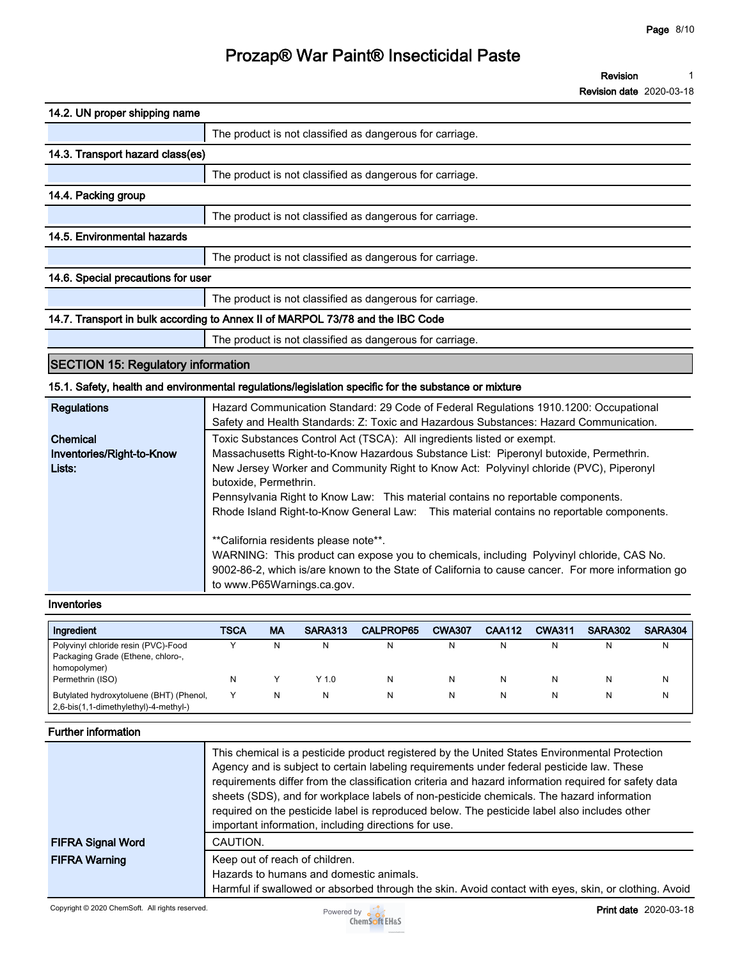**Revision 1**

**Revision date 2020-03-18**

| 14.2. UN proper shipping name                                                  |                                                          |  |  |
|--------------------------------------------------------------------------------|----------------------------------------------------------|--|--|
|                                                                                | The product is not classified as dangerous for carriage. |  |  |
| 14.3. Transport hazard class(es)                                               |                                                          |  |  |
|                                                                                | The product is not classified as dangerous for carriage. |  |  |
| 14.4. Packing group                                                            |                                                          |  |  |
|                                                                                | The product is not classified as dangerous for carriage. |  |  |
| 14.5. Environmental hazards                                                    |                                                          |  |  |
|                                                                                | The product is not classified as dangerous for carriage. |  |  |
| 14.6. Special precautions for user                                             |                                                          |  |  |
|                                                                                | The product is not classified as dangerous for carriage. |  |  |
| 14.7. Transport in bulk according to Annex II of MARPOL 73/78 and the IBC Code |                                                          |  |  |
|                                                                                | The product is not classified as dangerous for carriage. |  |  |

### **SECTION 15: Regulatory information**

#### **15.1. Safety, health and environmental regulations/legislation specific for the substance or mixture**

| Regulations               | Hazard Communication Standard: 29 Code of Federal Regulations 1910.1200: Occupational<br>Safety and Health Standards: Z: Toxic and Hazardous Substances: Hazard Communication.                                                                                       |
|---------------------------|----------------------------------------------------------------------------------------------------------------------------------------------------------------------------------------------------------------------------------------------------------------------|
| Chemical                  | Toxic Substances Control Act (TSCA): All ingredients listed or exempt.                                                                                                                                                                                               |
| Inventories/Right-to-Know | Massachusetts Right-to-Know Hazardous Substance List: Piperonyl butoxide, Permethrin.                                                                                                                                                                                |
| Lists:                    | New Jersey Worker and Community Right to Know Act: Polyvinyl chloride (PVC), Piperonyl                                                                                                                                                                               |
|                           | butoxide, Permethrin.                                                                                                                                                                                                                                                |
|                           | Pennsylvania Right to Know Law: This material contains no reportable components.                                                                                                                                                                                     |
|                           | Rhode Island Right-to-Know General Law: This material contains no reportable components.                                                                                                                                                                             |
|                           | **California residents please note**.<br>WARNING: This product can expose you to chemicals, including Polyvinyl chloride, CAS No.<br>9002-86-2, which is/are known to the State of California to cause cancer. For more information go<br>to www.P65Warnings.ca.gov. |

#### **Inventories**

| Ingredient                                                                       | TSCA | MA | SARA313 | CALPROP65 | <b>CWA307</b> | <b>CAA112</b> | <b>CWA311</b> | <b>SARA302</b> | SARA304 |
|----------------------------------------------------------------------------------|------|----|---------|-----------|---------------|---------------|---------------|----------------|---------|
| Polyvinyl chloride resin (PVC)-Food                                              |      | N  |         |           |               | N             | N             |                | N       |
| Packaging Grade (Ethene, chloro-,                                                |      |    |         |           |               |               |               |                |         |
| homopolymer)                                                                     |      |    |         |           |               |               |               |                |         |
| Permethrin (ISO)                                                                 | N    |    | $Y$ 1.0 |           |               | N             | N             |                | N       |
| Butylated hydroxytoluene (BHT) (Phenol,<br>2,6-bis(1,1-dimethylethyl)-4-methyl-) |      | N  |         |           |               | N             | N             |                | N       |

#### **Further information**

| <b>FIFRA Signal Word</b> | This chemical is a pesticide product registered by the United States Environmental Protection<br>Agency and is subject to certain labeling requirements under federal pesticide law. These<br>requirements differ from the classification criteria and hazard information required for safety data<br>sheets (SDS), and for workplace labels of non-pesticide chemicals. The hazard information<br>required on the pesticide label is reproduced below. The pesticide label also includes other<br>important information, including directions for use.<br>CAUTION. |
|--------------------------|---------------------------------------------------------------------------------------------------------------------------------------------------------------------------------------------------------------------------------------------------------------------------------------------------------------------------------------------------------------------------------------------------------------------------------------------------------------------------------------------------------------------------------------------------------------------|
| <b>FIFRA Warning</b>     | Keep out of reach of children.<br>Hazards to humans and domestic animals.<br>Harmful if swallowed or absorbed through the skin. Avoid contact with eyes, skin, or clothing. Avoid                                                                                                                                                                                                                                                                                                                                                                                   |

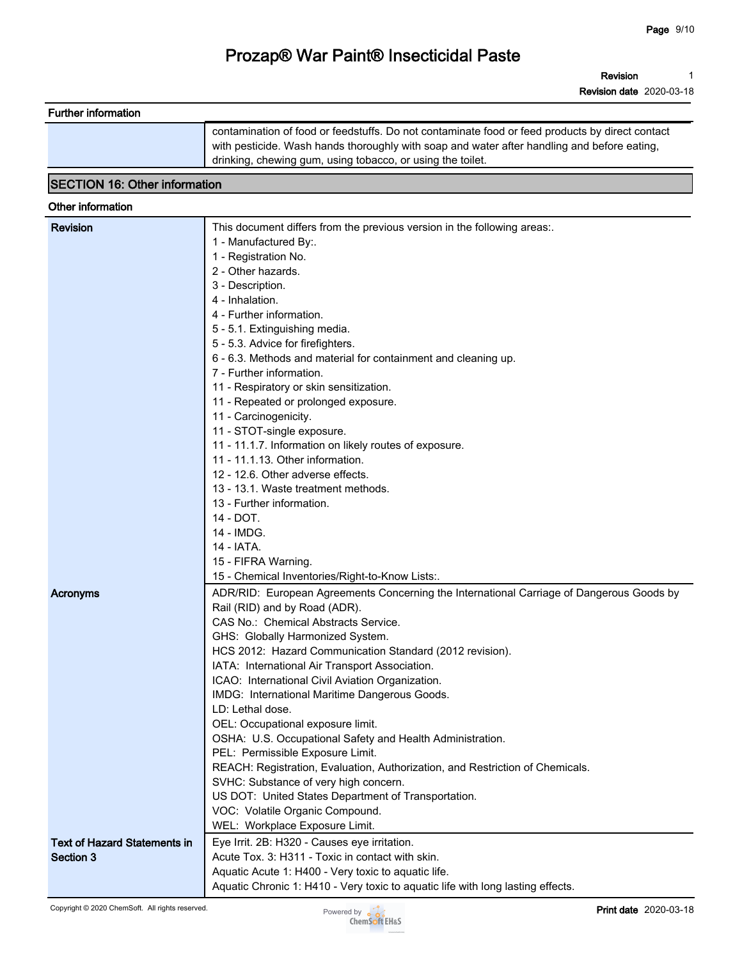**Revision 1**

**Revision date 2020-03-18**

|                                      | contamination of food or feedstuffs. Do not contaminate food or feed products by direct contact |  |  |  |
|--------------------------------------|-------------------------------------------------------------------------------------------------|--|--|--|
|                                      | with pesticide. Wash hands thoroughly with soap and water after handling and before eating,     |  |  |  |
|                                      | drinking, chewing gum, using tobacco, or using the toilet.                                      |  |  |  |
| <b>SECTION 16: Other information</b> |                                                                                                 |  |  |  |
|                                      |                                                                                                 |  |  |  |
| Other information                    |                                                                                                 |  |  |  |
| <b>Revision</b>                      | This document differs from the previous version in the following areas:.                        |  |  |  |
|                                      | 1 - Manufactured By:.                                                                           |  |  |  |
|                                      | 1 - Registration No.                                                                            |  |  |  |
|                                      | 2 - Other hazards.                                                                              |  |  |  |
|                                      | 3 - Description.                                                                                |  |  |  |
|                                      | 4 - Inhalation.                                                                                 |  |  |  |
|                                      | 4 - Further information.                                                                        |  |  |  |
|                                      | 5 - 5.1. Extinguishing media.                                                                   |  |  |  |
|                                      | 5 - 5.3. Advice for firefighters.                                                               |  |  |  |
|                                      | 6 - 6.3. Methods and material for containment and cleaning up.                                  |  |  |  |
|                                      | 7 - Further information.                                                                        |  |  |  |
|                                      | 11 - Respiratory or skin sensitization.                                                         |  |  |  |
|                                      | 11 - Repeated or prolonged exposure.                                                            |  |  |  |
|                                      | 11 - Carcinogenicity.                                                                           |  |  |  |
|                                      | 11 - STOT-single exposure.                                                                      |  |  |  |
|                                      | 11 - 11.1.7. Information on likely routes of exposure.                                          |  |  |  |
|                                      | 11 - 11.1.13. Other information.                                                                |  |  |  |
|                                      | 12 - 12.6. Other adverse effects.                                                               |  |  |  |
|                                      | 13 - 13.1. Waste treatment methods.                                                             |  |  |  |
|                                      | 13 - Further information.                                                                       |  |  |  |
|                                      | 14 - DOT.                                                                                       |  |  |  |
|                                      | 14 - IMDG.                                                                                      |  |  |  |
|                                      | 14 - IATA.                                                                                      |  |  |  |
|                                      | 15 - FIFRA Warning.                                                                             |  |  |  |
|                                      | 15 - Chemical Inventories/Right-to-Know Lists:.                                                 |  |  |  |
| Acronyms                             | ADR/RID: European Agreements Concerning the International Carriage of Dangerous Goods by        |  |  |  |
|                                      | Rail (RID) and by Road (ADR).                                                                   |  |  |  |
|                                      | CAS No.: Chemical Abstracts Service.                                                            |  |  |  |
|                                      | GHS: Globally Harmonized System.                                                                |  |  |  |
|                                      | HCS 2012: Hazard Communication Standard (2012 revision).                                        |  |  |  |
|                                      | IATA: International Air Transport Association.                                                  |  |  |  |
|                                      | ICAO: International Civil Aviation Organization.                                                |  |  |  |
|                                      | IMDG: International Maritime Dangerous Goods.                                                   |  |  |  |
|                                      | LD: Lethal dose.                                                                                |  |  |  |
|                                      | OEL: Occupational exposure limit.                                                               |  |  |  |
|                                      | OSHA: U.S. Occupational Safety and Health Administration.                                       |  |  |  |
|                                      | PEL: Permissible Exposure Limit.                                                                |  |  |  |
|                                      | REACH: Registration, Evaluation, Authorization, and Restriction of Chemicals.                   |  |  |  |
|                                      | SVHC: Substance of very high concern.                                                           |  |  |  |
|                                      | US DOT: United States Department of Transportation.                                             |  |  |  |
|                                      | VOC: Volatile Organic Compound.                                                                 |  |  |  |
|                                      | WEL: Workplace Exposure Limit.                                                                  |  |  |  |
| <b>Text of Hazard Statements in</b>  | Eye Irrit. 2B: H320 - Causes eye irritation.                                                    |  |  |  |
|                                      |                                                                                                 |  |  |  |
| Section 3                            | Acute Tox. 3: H311 - Toxic in contact with skin.                                                |  |  |  |

**Further information**



**Aquatic Chronic 1: H410 - Very toxic to aquatic life with long lasting effects.**

**Eye Irrit. 2B: H320 - Causes eye irritation. Acute Tox. 3: H311 - Toxic in contact with skin. Aquatic Acute 1: H400 - Very toxic to aquatic life.**